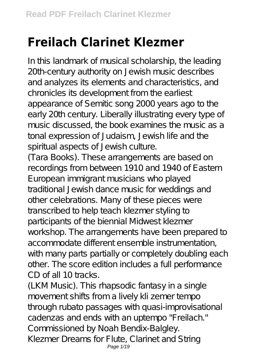## **Freilach Clarinet Klezmer**

In this landmark of musical scholarship, the leading 20th-century authority on Jewish music describes and analyzes its elements and characteristics, and chronicles its development from the earliest appearance of Semitic song 2000 years ago to the early 20th century. Liberally illustrating every type of music discussed, the book examines the music as a tonal expression of Judaism, Jewish life and the spiritual aspects of Jewish culture.

(Tara Books). These arrangements are based on recordings from between 1910 and 1940 of Eastern European immigrant musicians who played traditional Jewish dance music for weddings and other celebrations. Many of these pieces were transcribed to help teach klezmer styling to participants of the biennial Midwest klezmer workshop. The arrangements have been prepared to accommodate different ensemble instrumentation, with many parts partially or completely doubling each other. The score edition includes a full performance CD of all 10 tracks.

(LKM Music). This rhapsodic fantasy in a single movement shifts from a lively kli zemer tempo through rubato passages with quasi-improvisational cadenzas and ends with an uptempo "Freilach." Commissioned by Noah Bendix-Balgley. Klezmer Dreams for Flute, Clarinet and String Page  $1/19$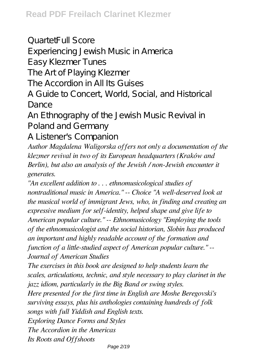QuartetFull Score Experiencing Jewish Music in America Easy Klezmer Tunes The Art of Playing Klezmer The Accordion in All Its Guises A Guide to Concert, World, Social, and Historical

Dance

An Ethnography of the Jewish Music Revival in Poland and Germany

A Listener's Companion

*Author Magdalena Waligorska offers not only a documentation of the klezmer revival in two of its European headquarters (Kraków and Berlin), but also an analysis of the Jewish / non-Jewish encounter it generates.*

*"An excellent addition to . . . ethnomusicological studies of nontraditional music in America." -- Choice "A well-deserved look at the musical world of immigrant Jews, who, in finding and creating an expressive medium for self-identity, helped shape and give life to American popular culture." -- Ethnomusicology "Employing the tools of the ethnomusicologist and the social historian, Slobin has produced an important and highly readable account of the formation and function of a little-studied aspect of American popular culture." -- Journal of American Studies*

*The exercises in this book are designed to help students learn the scales, articulations, technic, and style necessary to play clarinet in the jazz idiom, particularly in the Big Band or swing styles.*

*Here presented for the first time in English are Moshe Beregovski's surviving essays, plus his anthologies containing hundreds of folk songs with full Yiddish and English texts.*

*Exploring Dance Forms and Styles*

*The Accordion in the Americas*

*Its Roots and Offshoots*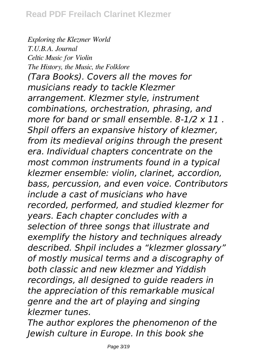*Exploring the Klezmer World T.U.B.A. Journal Celtic Music for Violin The History, the Music, the Folklore (Tara Books). Covers all the moves for musicians ready to tackle Klezmer arrangement. Klezmer style, instrument combinations, orchestration, phrasing, and more for band or small ensemble. 8-1/2 x 11 . Shpil offers an expansive history of klezmer, from its medieval origins through the present era. Individual chapters concentrate on the most common instruments found in a typical klezmer ensemble: violin, clarinet, accordion, bass, percussion, and even voice. Contributors include a cast of musicians who have recorded, performed, and studied klezmer for years. Each chapter concludes with a selection of three songs that illustrate and exemplify the history and techniques already described. Shpil includes a "klezmer glossary" of mostly musical terms and a discography of both classic and new klezmer and Yiddish recordings, all designed to guide readers in the appreciation of this remarkable musical genre and the art of playing and singing klezmer tunes.*

*The author explores the phenomenon of the Jewish culture in Europe. In this book she*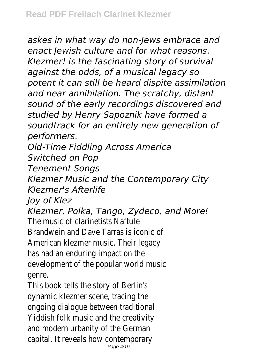*askes in what way do non-Jews embrace and enact Jewish culture and for what reasons. Klezmer! is the fascinating story of survival against the odds, of a musical legacy so potent it can still be heard dispite assimilation and near annihilation. The scratchy, distant sound of the early recordings discovered and studied by Henry Sapoznik have formed a soundtrack for an entirely new generation of performers.*

*Old-Time Fiddling Across America*

*Switched on Pop*

*Tenement Songs*

*Klezmer Music and the Contemporary City Klezmer's Afterlife*

*Joy of Klez*

*Klezmer, Polka, Tango, Zydeco, and More!* The music of clarinetists Naftule Brandwein and Dave Tarras is iconic of American klezmer music. Their legacy has had an enduring impact on the development of the popular world music genre.

This book tells the story of Berlin's dynamic klezmer scene, tracing the ongoing dialogue between traditional Yiddish folk music and the creativity and modern urbanity of the German capital. It reveals how contemporary Page 4/19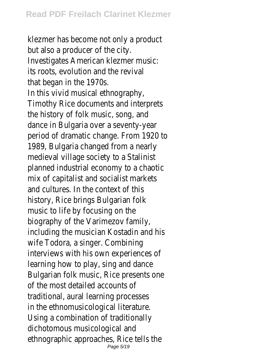klezmer has become not only a product but also a producer of the city. Investigates American klezmer music: its roots, evolution and the revival that began in the 1970s. In this vivid musical ethnography, Timothy Rice documents and interprets the history of folk music, song, and dance in Bulgaria over a seventy-year period of dramatic change. From 1920 to 1989, Bulgaria changed from a nearly medieval village society to a Stalinist planned industrial economy to a chaotic mix of capitalist and socialist markets and cultures. In the context of this history, Rice brings Bulgarian folk music to life by focusing on the biography of the Varimezov family, including the musician Kostadin and his wife Todora, a singer. Combining interviews with his own experiences of learning how to play, sing and dance Bulgarian folk music, Rice presents one of the most detailed accounts of traditional, aural learning processes in the ethnomusicological literature. Using a combination of traditionally dichotomous musicological and ethnographic approaches, Rice tells the Page 5/19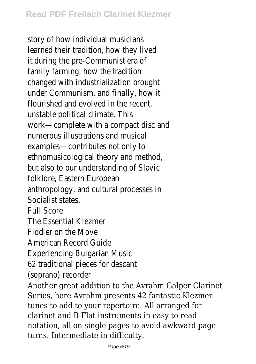story of how individual musicians learned their tradition, how they lived it during the pre-Communist era of family farming, how the tradition changed with industrialization brought under Communism, and finally, how it flourished and evolved in the recent, unstable political climate. This work—complete with a compact disc and numerous illustrations and musical examples—contributes not only to ethnomusicological theory and method, but also to our understanding of Slavic folklore, Eastern European anthropology, and cultural processes in Socialist states. Full Score The Essential Klezmer Fiddler on the Move American Record Guide Experiencing Bulgarian Music 62 traditional pieces for descant (soprano) recorder Another great addition to the Avrahm Galper Clarinet Series, here Avrahm presents 42 fantastic Klezmer tunes to add to your repertoire. All arranged for clarinet and B-Flat instruments in easy to read notation, all on single pages to avoid awkward page turns. Intermediate in difficulty.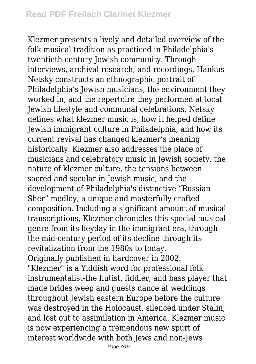Klezmer presents a lively and detailed overview of the folk musical tradition as practiced in Philadelphia's twentieth-century Jewish community. Through interviews, archival research, and recordings, Hankus Netsky constructs an ethnographic portrait of Philadelphia's Jewish musicians, the environment they worked in, and the repertoire they performed at local Jewish lifestyle and communal celebrations. Netsky defines what klezmer music is, how it helped define Jewish immigrant culture in Philadelphia, and how its current revival has changed klezmer's meaning historically. Klezmer also addresses the place of musicians and celebratory music in Jewish society, the nature of klezmer culture, the tensions between sacred and secular in Jewish music, and the development of Philadelphia's distinctive "Russian Sher" medley, a unique and masterfully crafted composition. Including a significant amount of musical transcriptions, Klezmer chronicles this special musical genre from its heyday in the immigrant era, through the mid-century period of its decline through its revitalization from the 1980s to today. Originally published in hardcover in 2002. "Klezmer" is a Yiddish word for professional folk instrumentalist-the flutist, fiddler, and bass player that made brides weep and guests dance at weddings throughout Jewish eastern Europe before the culture was destroyed in the Holocaust, silenced under Stalin, and lost out to assimilation in America. Klezmer music is now experiencing a tremendous new spurt of interest worldwide with both Jews and non-Jews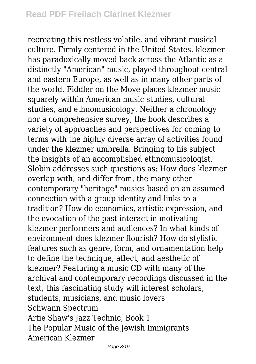recreating this restless volatile, and vibrant musical culture. Firmly centered in the United States, klezmer has paradoxically moved back across the Atlantic as a distinctly "American" music, played throughout central and eastern Europe, as well as in many other parts of the world. Fiddler on the Move places klezmer music squarely within American music studies, cultural studies, and ethnomusicology. Neither a chronology nor a comprehensive survey, the book describes a variety of approaches and perspectives for coming to terms with the highly diverse array of activities found under the klezmer umbrella. Bringing to his subject the insights of an accomplished ethnomusicologist, Slobin addresses such questions as: How does klezmer overlap with, and differ from, the many other contemporary "heritage" musics based on an assumed connection with a group identity and links to a tradition? How do economics, artistic expression, and the evocation of the past interact in motivating klezmer performers and audiences? In what kinds of environment does klezmer flourish? How do stylistic features such as genre, form, and ornamentation help to define the technique, affect, and aesthetic of klezmer? Featuring a music CD with many of the archival and contemporary recordings discussed in the text, this fascinating study will interest scholars, students, musicians, and music lovers Schwann Spectrum Artie Shaw's Jazz Technic, Book 1 The Popular Music of the Jewish Immigrants American Klezmer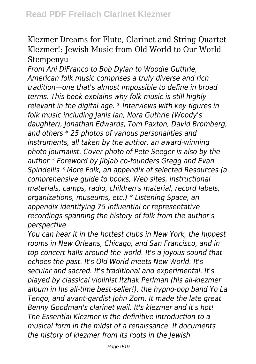## Klezmer Dreams for Flute, Clarinet and String Quartet Klezmer!: Jewish Music from Old World to Our World Stempenyu

*From Ani DiFranco to Bob Dylan to Woodie Guthrie, American folk music comprises a truly diverse and rich tradition—one that's almost impossible to define in broad terms. This book explains why folk music is still highly relevant in the digital age. \* Interviews with key figures in folk music including Janis Ian, Nora Guthrie (Woody's daughter), Jonathan Edwards, Tom Paxton, David Bromberg, and others \* 25 photos of various personalities and instruments, all taken by the author, an award-winning photo journalist. Cover photo of Pete Seeger is also by the author \* Foreword by JibJab co-founders Gregg and Evan Spiridellis \* More Folk, an appendix of selected Resources (a comprehensive guide to books, Web sites, instructional materials, camps, radio, children's material, record labels, organizations, museums, etc.) \* Listening Space, an appendix identifying 75 influential or representative recordings spanning the history of folk from the author's perspective*

*You can hear it in the hottest clubs in New York, the hippest rooms in New Orleans, Chicago, and San Francisco, and in top concert halls around the world. It's a joyous sound that echoes the past. It's Old World meets New World. It's secular and sacred. It's traditional and experimental. It's played by classical violinist Itzhak Perlman (his all-klezmer album in his all-time best-seller!), the hypno-pop band Yo La Tengo, and avant-gardist John Zorn. It made the late great Benny Goodman's clarinet wail. It's klezmer and it's hot! The Essential Klezmer is the definitive introduction to a musical form in the midst of a renaissance. It documents the history of klezmer from its roots in the Jewish*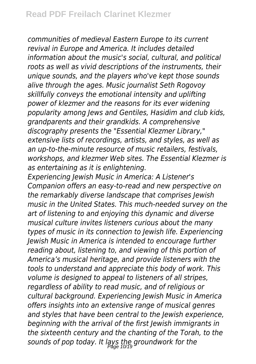*communities of medieval Eastern Europe to its current revival in Europe and America. It includes detailed information about the music's social, cultural, and political roots as well as vivid descriptions of the instruments, their unique sounds, and the players who've kept those sounds alive through the ages. Music journalist Seth Rogovoy skillfully conveys the emotional intensity and uplifting power of klezmer and the reasons for its ever widening popularity among Jews and Gentiles, Hasidim and club kids, grandparents and their grandkids. A comprehensive discography presents the "Essential Klezmer Library," extensive lists of recordings, artists, and styles, as well as an up-to-the-minute resource of music retailers, festivals, workshops, and klezmer Web sites. The Essential Klezmer is as entertaining as it is enlightening.*

*Experiencing Jewish Music in America: A Listener's Companion offers an easy-to-read and new perspective on the remarkably diverse landscape that comprises Jewish music in the United States. This much-needed survey on the art of listening to and enjoying this dynamic and diverse musical culture invites listeners curious about the many types of music in its connection to Jewish life. Experiencing Jewish Music in America is intended to encourage further reading about, listening to, and viewing of this portion of America's musical heritage, and provide listeners with the tools to understand and appreciate this body of work. This volume is designed to appeal to listeners of all stripes, regardless of ability to read music, and of religious or cultural background. Experiencing Jewish Music in America offers insights into an extensive range of musical genres and styles that have been central to the Jewish experience, beginning with the arrival of the first Jewish immigrants in the sixteenth century and the chanting of the Torah, to the sounds of pop today. It lays the groundwork for the* Page 10/19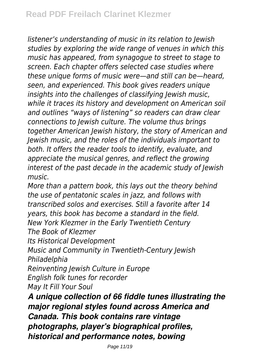*listener's understanding of music in its relation to Jewish studies by exploring the wide range of venues in which this music has appeared, from synagogue to street to stage to screen. Each chapter offers selected case studies where these unique forms of music were—and still can be—heard, seen, and experienced. This book gives readers unique insights into the challenges of classifying Jewish music, while it traces its history and development on American soil and outlines "ways of listening" so readers can draw clear connections to Jewish culture. The volume thus brings together American Jewish history, the story of American and Jewish music, and the roles of the individuals important to both. It offers the reader tools to identify, evaluate, and appreciate the musical genres, and reflect the growing interest of the past decade in the academic study of Jewish music.*

*More than a pattern book, this lays out the theory behind the use of pentatonic scales in jazz, and follows with transcribed solos and exercises. Still a favorite after 14 years, this book has become a standard in the field. New York Klezmer in the Early Twentieth Century The Book of Klezmer*

*Its Historical Development*

*Music and Community in Twentieth-Century Jewish Philadelphia*

*Reinventing Jewish Culture in Europe English folk tunes for recorder May It Fill Your Soul*

*A unique collection of 66 fiddle tunes illustrating the major regional styles found across America and Canada. This book contains rare vintage photographs, player's biographical profiles, historical and performance notes, bowing*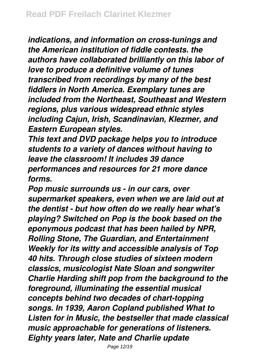*indications, and information on cross-tunings and the American institution of fiddle contests. the authors have collaborated brilliantly on this labor of love to produce a definitive volume of tunes transcribed from recordings by many of the best fiddlers in North America. Exemplary tunes are included from the Northeast, Southeast and Western regions, plus various widespread ethnic styles including Cajun, Irish, Scandinavian, Klezmer, and Eastern European styles.*

*This text and DVD package helps you to introduce students to a variety of dances without having to leave the classroom! It includes 39 dance performances and resources for 21 more dance forms.*

*Pop music surrounds us - in our cars, over supermarket speakers, even when we are laid out at the dentist - but how often do we really hear what's playing? Switched on Pop is the book based on the eponymous podcast that has been hailed by NPR, Rolling Stone, The Guardian, and Entertainment Weekly for its witty and accessible analysis of Top 40 hits. Through close studies of sixteen modern classics, musicologist Nate Sloan and songwriter Charlie Harding shift pop from the background to the foreground, illuminating the essential musical concepts behind two decades of chart-topping songs. In 1939, Aaron Copland published What to Listen for in Music, the bestseller that made classical music approachable for generations of listeners. Eighty years later, Nate and Charlie update*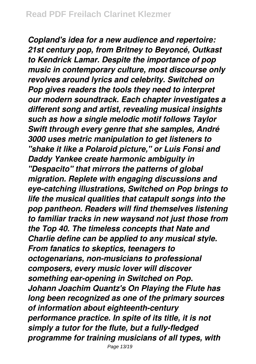*Copland's idea for a new audience and repertoire: 21st century pop, from Britney to Beyoncé, Outkast to Kendrick Lamar. Despite the importance of pop music in contemporary culture, most discourse only revolves around lyrics and celebrity. Switched on Pop gives readers the tools they need to interpret our modern soundtrack. Each chapter investigates a different song and artist, revealing musical insights such as how a single melodic motif follows Taylor Swift through every genre that she samples, André 3000 uses metric manipulation to get listeners to "shake it like a Polaroid picture," or Luis Fonsi and Daddy Yankee create harmonic ambiguity in "Despacito" that mirrors the patterns of global migration. Replete with engaging discussions and eye-catching illustrations, Switched on Pop brings to life the musical qualities that catapult songs into the pop pantheon. Readers will find themselves listening to familiar tracks in new waysand not just those from the Top 40. The timeless concepts that Nate and Charlie define can be applied to any musical style. From fanatics to skeptics, teenagers to octogenarians, non-musicians to professional composers, every music lover will discover something ear-opening in Switched on Pop. Johann Joachim Quantz's On Playing the Flute has long been recognized as one of the primary sources of information about eighteenth-century performance practice. In spite of its title, it is not simply a tutor for the flute, but a fully-fledged programme for training musicians of all types, with*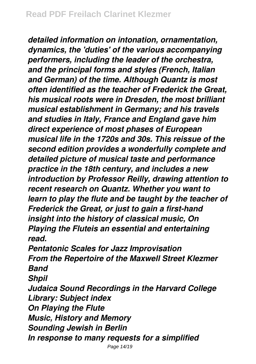*detailed information on intonation, ornamentation, dynamics, the 'duties' of the various accompanying performers, including the leader of the orchestra, and the principal forms and styles (French, Italian and German) of the time. Although Quantz is most often identified as the teacher of Frederick the Great, his musical roots were in Dresden, the most brilliant musical establishment in Germany; and his travels and studies in Italy, France and England gave him direct experience of most phases of European musical life in the 1720s and 30s. This reissue of the second edition provides a wonderfully complete and detailed picture of musical taste and performance practice in the 18th century, and includes a new introduction by Professor Reilly, drawing attention to recent research on Quantz. Whether you want to learn to play the flute and be taught by the teacher of Frederick the Great, or just to gain a first-hand insight into the history of classical music, On Playing the Fluteis an essential and entertaining read.*

*Pentatonic Scales for Jazz Improvisation From the Repertoire of the Maxwell Street Klezmer Band*

*Shpil*

*Judaica Sound Recordings in the Harvard College Library: Subject index On Playing the Flute Music, History and Memory Sounding Jewish in Berlin In response to many requests for a simplified*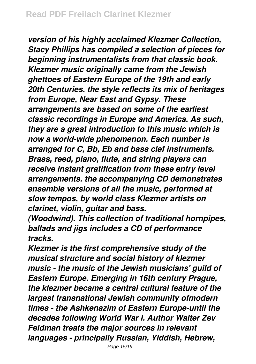*version of his highly acclaimed Klezmer Collection, Stacy Phillips has compiled a selection of pieces for beginning instrumentalists from that classic book. Klezmer music originally came from the Jewish ghettoes of Eastern Europe of the 19th and early 20th Centuries. the style reflects its mix of heritages from Europe, Near East and Gypsy. These arrangements are based on some of the earliest classic recordings in Europe and America. As such, they are a great introduction to this music which is now a world-wide phenomenon. Each number is arranged for C, Bb, Eb and bass clef instruments. Brass, reed, piano, flute, and string players can receive instant gratification from these entry level arrangements. the accompanying CD demonstrates ensemble versions of all the music, performed at slow tempos, by world class Klezmer artists on clarinet, violin, guitar and bass.*

*(Woodwind). This collection of traditional hornpipes, ballads and jigs includes a CD of performance tracks.*

*Klezmer is the first comprehensive study of the musical structure and social history of klezmer music - the music of the Jewish musicians' guild of Eastern Europe. Emerging in 16th century Prague, the klezmer became a central cultural feature of the largest transnational Jewish community ofmodern times - the Ashkenazim of Eastern Europe-until the decades following World War I. Author Walter Zev Feldman treats the major sources in relevant languages - principally Russian, Yiddish, Hebrew,*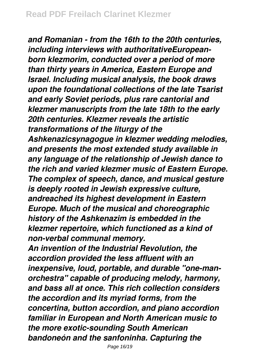*and Romanian - from the 16th to the 20th centuries, including interviews with authoritativeEuropeanborn klezmorim, conducted over a period of more than thirty years in America, Eastern Europe and Israel. Including musical analysis, the book draws upon the foundational collections of the late Tsarist and early Soviet periods, plus rare cantorial and klezmer manuscripts from the late 18th to the early 20th centuries. Klezmer reveals the artistic transformations of the liturgy of the Ashkenazicsynagogue in klezmer wedding melodies, and presents the most extended study available in any language of the relationship of Jewish dance to the rich and varied klezmer music of Eastern Europe. The complex of speech, dance, and musical gesture is deeply rooted in Jewish expressive culture, andreached its highest development in Eastern Europe. Much of the musical and choreographic history of the Ashkenazim is embedded in the klezmer repertoire, which functioned as a kind of non-verbal communal memory.*

*An invention of the Industrial Revolution, the accordion provided the less affluent with an inexpensive, loud, portable, and durable "one-manorchestra" capable of producing melody, harmony, and bass all at once. This rich collection considers the accordion and its myriad forms, from the concertina, button accordion, and piano accordion familiar in European and North American music to the more exotic-sounding South American bandoneón and the sanfoninha. Capturing the*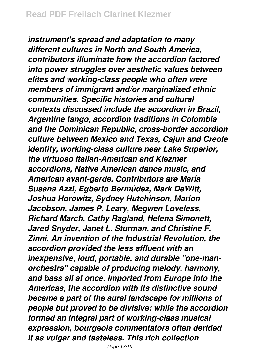*instrument's spread and adaptation to many different cultures in North and South America, contributors illuminate how the accordion factored into power struggles over aesthetic values between elites and working-class people who often were members of immigrant and/or marginalized ethnic communities. Specific histories and cultural contexts discussed include the accordion in Brazil, Argentine tango, accordion traditions in Colombia and the Dominican Republic, cross-border accordion culture between Mexico and Texas, Cajun and Creole identity, working-class culture near Lake Superior, the virtuoso Italian-American and Klezmer accordions, Native American dance music, and American avant-garde. Contributors are María Susana Azzi, Egberto Bermúdez, Mark DeWitt, Joshua Horowitz, Sydney Hutchinson, Marion Jacobson, James P. Leary, Megwen Loveless, Richard March, Cathy Ragland, Helena Simonett, Jared Snyder, Janet L. Sturman, and Christine F. Zinni. An invention of the Industrial Revolution, the accordion provided the less affluent with an inexpensive, loud, portable, and durable "one-manorchestra" capable of producing melody, harmony, and bass all at once. Imported from Europe into the Americas, the accordion with its distinctive sound became a part of the aural landscape for millions of people but proved to be divisive: while the accordion formed an integral part of working-class musical expression, bourgeois commentators often derided it as vulgar and tasteless. This rich collection*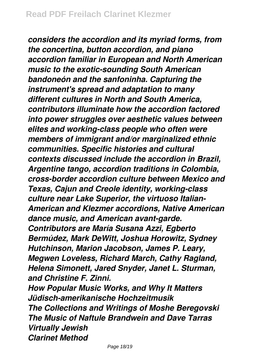*considers the accordion and its myriad forms, from the concertina, button accordion, and piano accordion familiar in European and North American music to the exotic-sounding South American bandoneón and the sanfoninha. Capturing the instrument's spread and adaptation to many different cultures in North and South America, contributors illuminate how the accordion factored into power struggles over aesthetic values between elites and working-class people who often were members of immigrant and/or marginalized ethnic communities. Specific histories and cultural contexts discussed include the accordion in Brazil, Argentine tango, accordion traditions in Colombia, cross-border accordion culture between Mexico and Texas, Cajun and Creole identity, working-class culture near Lake Superior, the virtuoso Italian-American and Klezmer accordions, Native American dance music, and American avant-garde. Contributors are María Susana Azzi, Egberto Bermúdez, Mark DeWitt, Joshua Horowitz, Sydney Hutchinson, Marion Jacobson, James P. Leary, Megwen Loveless, Richard March, Cathy Ragland, Helena Simonett, Jared Snyder, Janet L. Sturman, and Christine F. Zinni. How Popular Music Works, and Why It Matters Jüdisch-amerikanische Hochzeitmusik The Collections and Writings of Moshe Beregovski The Music of Naftule Brandwein and Dave Tarras*

*Virtually Jewish Clarinet Method*